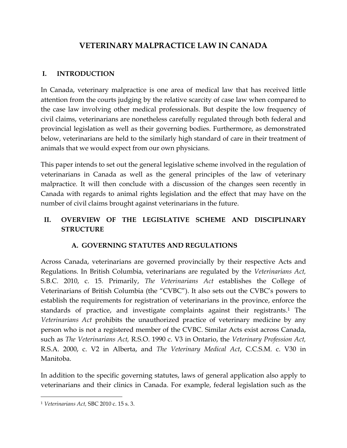# **VETERINARY MALPRACTICE LAW IN CANADA**

#### **I. INTRODUCTION**

In Canada, veterinary malpractice is one area of medical law that has received little attention from the courts judging by the relative scarcity of case law when compared to the case law involving other medical professionals. But despite the low frequency of civil claims, veterinarians are nonetheless carefully regulated through both federal and provincial legislation as well as their governing bodies. Furthermore, as demonstrated below, veterinarians are held to the similarly high standard of care in their treatment of animals that we would expect from our own physicians.

This paper intends to set out the general legislative scheme involved in the regulation of veterinarians in Canada as well as the general principles of the law of veterinary malpractice. It will then conclude with a discussion of the changes seen recently in Canada with regards to animal rights legislation and the effect that may have on the number of civil claims brought against veterinarians in the future.

## **II. OVERVIEW OF THE LEGISLATIVE SCHEME AND DISCIPLINARY STRUCTURE**

## **A. GOVERNING STATUTES AND REGULATIONS**

Across Canada, veterinarians are governed provincially by their respective Acts and Regulations. In British Columbia, veterinarians are regulated by the *Veterinarians Act,* S.B.C. 2010, c. 15*.* Primarily, *The Veterinarians Act* establishes the College of Veterinarians of British Columbia (the "CVBC"). It also sets out the CVBC's powers to establish the requirements for registration of veterinarians in the province, enforce the standards of practice, and investigate complaints against their registrants. <sup>1</sup> The *Veterinarians Act* prohibits the unauthorized practice of veterinary medicine by any person who is not a registered member of the CVBC. Similar Acts exist across Canada, such as *The Veterinarians Act,* R.S.O. 1990 c. V3 in Ontario, the *Veterinary Profession Act,* R.S.A. 2000, c. V2 in Alberta, and *The Veterinary Medical Act*, C.C.S.M. c. V30 in Manitoba.

In addition to the specific governing statutes, laws of general application also apply to veterinarians and their clinics in Canada. For example, federal legislation such as the

<sup>1</sup> *Veterinarians Act,* SBC 2010 c. 15 s. 3.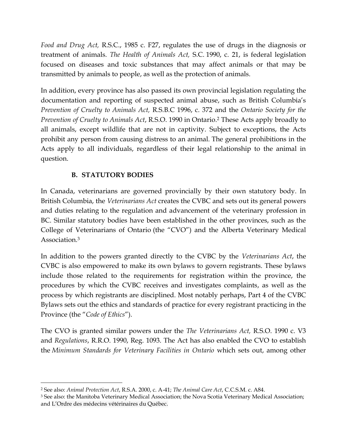*Food and Drug Act,* R.S.C., 1985 c. F27, regulates the use of drugs in the diagnosis or treatment of animals. *The Health of Animals Act,* S.C. 1990, c. 21, is federal legislation focused on diseases and toxic substances that may affect animals or that may be transmitted by animals to people, as well as the protection of animals.

In addition, every province has also passed its own provincial legislation regulating the documentation and reporting of suspected animal abuse, such as British Columbia's *Prevention of Cruelty to Animals Act,* R.S.B.C 1996, c. 372 and the *Ontario Society for the Prevention of Cruelty to Animals Act*, R.S.O. 1990 in Ontario. <sup>2</sup> These Acts apply broadly to all animals, except wildlife that are not in captivity. Subject to exceptions, the Acts prohibit any person from causing distress to an animal. The general prohibitions in the Acts apply to all individuals, regardless of their legal relationship to the animal in question.

#### **B. STATUTORY BODIES**

 $\overline{a}$ 

In Canada, veterinarians are governed provincially by their own statutory body. In British Columbia, the *Veterinarians Act* creates the CVBC and sets out its general powers and duties relating to the regulation and advancement of the veterinary profession in BC. Similar statutory bodies have been established in the other provinces, such as the College of Veterinarians of Ontario (the "CVO") and the Alberta Veterinary Medical Association.<sup>3</sup>

In addition to the powers granted directly to the CVBC by the *Veterinarians Act*, the CVBC is also empowered to make its own bylaws to govern registrants. These bylaws include those related to the requirements for registration within the province, the procedures by which the CVBC receives and investigates complaints, as well as the process by which registrants are disciplined. Most notably perhaps, Part 4 of the CVBC Bylaws sets out the ethics and standards of practice for every registrant practicing in the Province (the "*Code of Ethics*").

The CVO is granted similar powers under the *The Veterinarians Act,* R.S.O. 1990 c. V3 and *Regulations*, R.R.O. 1990, Reg. 1093. The Act has also enabled the CVO to establish the *Minimum Standards for Veterinary Facilities in Ontario* which sets out, among other

<sup>2</sup> See also: *An*i*mal Protection Act*, R.S.A. 2000, c. A-41; *The Animal Care Act*, C.C.S.M. c. A84.

<sup>&</sup>lt;sup>3</sup> See also: the Manitoba Veterinary Medical Association; the Nova Scotia Veterinary Medical Association; and L'Ordre des médecins vétérinaires du Québec.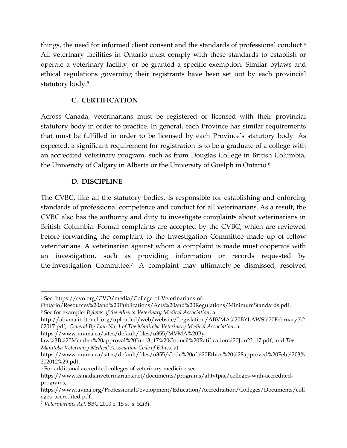things, the need for informed client consent and the standards of professional conduct. 4 All veterinary facilities in Ontario must comply with these standards to establish or operate a veterinary facility, or be granted a specific exemption. Similar bylaws and ethical regulations governing their registrants have been set out by each provincial statutory body.<sup>5</sup>

#### **C. CERTIFICATION**

Across Canada, veterinarians must be registered or licensed with their provincial statutory body in order to practice. In general, each Province has similar requirements that must be fulfilled in order to be licensed by each Province's statutory body. As expected, a significant requirement for registration is to be a graduate of a college with an accredited veterinary program, such as from Douglas College in British Columbia, the University of Calgary in Alberta or the University of Guelph in Ontario.<sup>6</sup>

#### **D. DISCIPLINE**

The CVBC, like all the statutory bodies, is responsible for establishing and enforcing standards of professional competence and conduct for all veterinarians. As a result, the CVBC also has the authority and duty to investigate complaints about veterinarians in British Columbia. Formal complaints are accepted by the CVBC, which are reviewed before forwarding the complaint to the Investigation Committee made up of fellow veterinarians. A veterinarian against whom a complaint is made must cooperate with an investigation, such as providing information or records requested by the Investigation Committee.<sup>7</sup> A complaint may ultimately be dismissed, resolved

<sup>4</sup> See: https://cvo.org/CVO/media/College-of-Veterinarians-of-

Ontario/Resources%20and%20Publications/Acts%20and%20Regulations/MinimumStandards.pdf.

<sup>5</sup> See for example: *Bylaws of the Alberta Veterinary Medical Association*, at

http://abvma.in1touch.org/uploaded/web/website/Legislation/ABVMA%20BYLAWS%20February%2 02017.pdf; *General By-Law No. 1 of The Manitoba Veterinary Medical Association*, at

https://www.mvma.ca/sites/default/files/u355/MVMA%20By-

law%3B%20Member%20approval%20Jun13\_17%20Council%20Ratification%20Jun22\_17.pdf, and *The Manitoba Veterinary Medical Association Code of Ethics,* at

https://www.mvma.ca/sites/default/files/u355/Code%20of%20Ethics%20%28approved%20Feb%203% 202012%29.pdf.

<sup>6</sup> For additional accredited colleges of veterinary medicine see:

https://www.canadianveterinarians.net/documents/programs/ahtvtpac/colleges-with-accreditedprograms,

https://www.avma.org/ProfessionalDevelopment/Education/Accreditation/Colleges/Documents/coll eges\_accredited.pdf.

<sup>7</sup> *Veterinarians Act,* SBC 2010 c. 15 s. s. 52(3).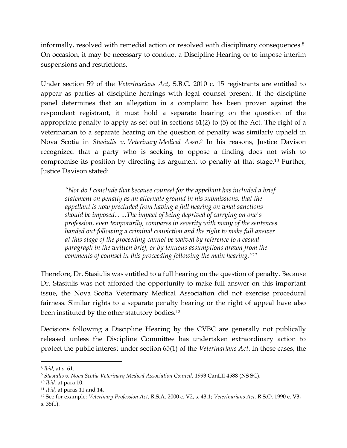informally, resolved with remedial action or resolved with disciplinary consequences.<sup>8</sup> On occasion, it may be necessary to conduct a Discipline Hearing or to impose interim suspensions and restrictions.

Under section 59 of the *Veterinarians Act*, S.B.C. 2010 c. 15 registrants are entitled to appear as parties at discipline hearings with legal counsel present. If the discipline panel determines that an allegation in a complaint has been proven against the respondent registrant, it must hold a separate hearing on the question of the appropriate penalty to apply as set out in sections 61(2) to (5) of the Act. The right of a veterinarian to a separate hearing on the question of penalty was similarly upheld in Nova Scotia in *Stasiulis v. Veterinary Medical Assn.<sup>9</sup>* In his reasons, Justice Davison recognized that a party who is seeking to oppose a finding does not wish to compromise its position by directing its argument to penalty at that stage.<sup>10</sup> Further, Justice Davison stated:

*"Nor do I conclude that because counsel for the appellant has included a brief statement on penalty as an alternate ground in his submissions, that the appellant is now precluded from having a full hearing on what sanctions should be imposed... ...The impact of being deprived of carrying on one's profession, even temporarily, compares in severity with many of the sentences handed out following a criminal conviction and the right to make full answer at this stage of the proceeding cannot be waived by reference to a casual paragraph in the written brief, or by tenuous assumptions drawn from the comments of counsel in this proceeding following the main hearing."<sup>11</sup>*

Therefore, Dr. Stasiulis was entitled to a full hearing on the question of penalty. Because Dr. Stasiulis was not afforded the opportunity to make full answer on this important issue, the Nova Scotia Veterinary Medical Association did not exercise procedural fairness. Similar rights to a separate penalty hearing or the right of appeal have also been instituted by the other statutory bodies.<sup>12</sup>

Decisions following a Discipline Hearing by the CVBC are generally not publically released unless the Discipline Committee has undertaken extraordinary action to protect the public interest under section 65(1) of the *Veterinarians Act*. In these cases, the

<sup>8</sup> *Ibid,* at s. 61.

<sup>9</sup> *Stasiulis v. Nova Scotia Veterinary Medical Association Council,* 1993 CanLII 4588 (NS SC).

<sup>10</sup> *Ibid,* at para 10.

<sup>11</sup> *Ibid,* at paras 11 and 14.

<sup>12</sup> See for example: *Veterinary Profession Act,* R.S.A. 2000 c. V2, s. 43.1; *Veterinarians Act,* R.S.O. 1990 c. V3, s. 35(1).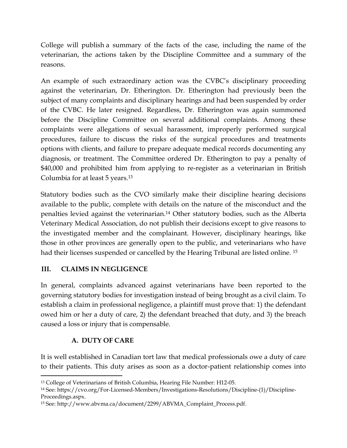College will publish a summary of the facts of the case, including the name of the veterinarian, the actions taken by the Discipline Committee and a summary of the reasons.

An example of such extraordinary action was the CVBC's disciplinary proceeding against the veterinarian, Dr. Etherington. Dr. Etherington had previously been the subject of many complaints and disciplinary hearings and had been suspended by order of the CVBC. He later resigned. Regardless, Dr. Etherington was again summoned before the Discipline Committee on several additional complaints. Among these complaints were allegations of sexual harassment, improperly performed surgical procedures, failure to discuss the risks of the surgical procedures and treatments options with clients, and failure to prepare adequate medical records documenting any diagnosis, or treatment. The Committee ordered Dr. Etherington to pay a penalty of \$40,000 and prohibited him from applying to re-register as a veterinarian in British Columbia for at least 5 years.<sup>13</sup>

Statutory bodies such as the CVO similarly make their discipline hearing decisions available to the public, complete with details on the nature of the misconduct and the penalties levied against the veterinarian.<sup>14</sup> Other statutory bodies, such as the Alberta Veterinary Medical Association, do not publish their decisions except to give reasons to the investigated member and the complainant. However, disciplinary hearings, like those in other provinces are generally open to the public, and veterinarians who have had their licenses suspended or cancelled by the Hearing Tribunal are listed online. <sup>15</sup>

## **III. CLAIMS IN NEGLIGENCE**

In general, complaints advanced against veterinarians have been reported to the governing statutory bodies for investigation instead of being brought as a civil claim. To establish a claim in professional negligence, a plaintiff must prove that: 1) the defendant owed him or her a duty of care, 2) the defendant breached that duty, and 3) the breach caused a loss or injury that is compensable.

## **A. DUTY OF CARE**

It is well established in Canadian tort law that medical professionals owe a duty of care to their patients. This duty arises as soon as a doctor-patient relationship comes into

 $\overline{a}$ <sup>13</sup> College of Veterinarians of British Columbia, Hearing File Number: H12-05.

<sup>14</sup> See: https://cvo.org/For-Licensed-Members/Investigations-Resolutions/Discipline-(1)/Discipline-Proceedings.aspx.

<sup>15</sup> See: http://www.abvma.ca/document/2299/ABVMA\_Complaint\_Process.pdf.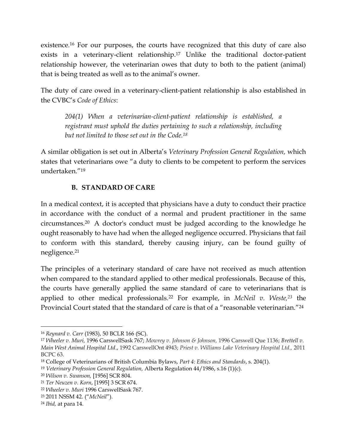existence.<sup>16</sup> For our purposes, the courts have recognized that this duty of care also exists in a veterinary-client relationship.<sup>17</sup> Unlike the traditional doctor-patient relationship however, the veterinarian owes that duty to both to the patient (animal) that is being treated as well as to the animal's owner.

The duty of care owed in a veterinary-client-patient relationship is also established in the CVBC's *Code of Ethics*:

*204(1) When a veterinarian-client-patient relationship is established, a registrant must uphold the duties pertaining to such a relationship, including but not limited to those set out in the Code.<sup>18</sup>*

A similar obligation is set out in Alberta's *Veterinary Profession General Regulation,* which states that veterinarians owe "a duty to clients to be competent to perform the services undertaken."<sup>19</sup>

#### **B. STANDARD OF CARE**

In a medical context, it is accepted that physicians have a duty to conduct their practice in accordance with the conduct of a normal and prudent practitioner in the same circumstances.<sup>20</sup> A doctor's conduct must be judged according to the knowledge he ought reasonably to have had when the alleged negligence occurred. Physicians that fail to conform with this standard, thereby causing injury, can be found guilty of negligence.<sup>21</sup>

The principles of a veterinary standard of care have not received as much attention when compared to the standard applied to other medical professionals. Because of this, the courts have generally applied the same standard of care to veterinarians that is applied to other medical professionals. <sup>22</sup> For example, in *McNeil v. Weste,<sup>23</sup>* the Provincial Court stated that the standard of care is that of a "reasonable veterinarian."<sup>24</sup>

<sup>16</sup> *Reynard v. Carr* (1983), 50 BCLR 166 (SC).

<sup>17</sup> *Wheeler v. Muri,* 1996 CarswellSask 767; *Mowrey v. Johnson & Johnson,* 1996 Carswell Que 1136; *Brettell v. Main West Animal Hospital Ltd*., 1992 CarswellOnt 4943; *Priest v. Williams Lake Veterinary Hospital Ltd.,* 2011 BCPC 63.

<sup>18</sup> College of Veterinarians of British Columbia Bylaws, *Part 4: Ethics and Standards*, s. 204(1).

<sup>19</sup> *Veterinary Profession General Regulation,* Alberta Regulation 44/1986, s.16 (1)(c).

<sup>20</sup> *Wilson v. Swanson,* [1956] SCR 804.

<sup>21</sup> *Ter Neuzen v. Korn*, [1995] 3 SCR 674.

<sup>22</sup> *Wheeler v. Muri* 1996 CarswellSask 767.

<sup>23</sup> 2011 NSSM 42. ("*McNeil*").

<sup>24</sup> *Ibid,* at para 14.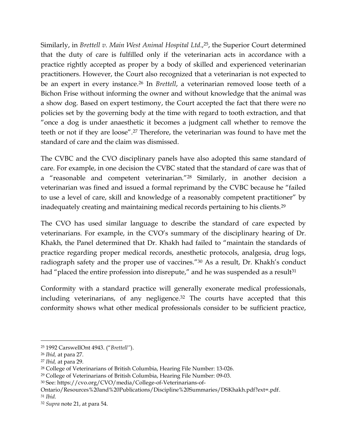Similarly, in *Brettell v. Main West Animal Hospital Ltd*., <sup>25</sup>, the Superior Court determined that the duty of care is fulfilled only if the veterinarian acts in accordance with a practice rightly accepted as proper by a body of skilled and experienced veterinarian practitioners. However, the Court also recognized that a veterinarian is not expected to be an expert in every instance.<sup>26</sup> In *Brettell*, a veterinarian removed loose teeth of a Bichon Frise without informing the owner and without knowledge that the animal was a show dog. Based on expert testimony, the Court accepted the fact that there were no policies set by the governing body at the time with regard to tooth extraction, and that "once a dog is under anaesthetic it becomes a judgment call whether to remove the teeth or not if they are loose".<sup>27</sup> Therefore, the veterinarian was found to have met the standard of care and the claim was dismissed.

The CVBC and the CVO disciplinary panels have also adopted this same standard of care. For example, in one decision the CVBC stated that the standard of care was that of a "reasonable and competent veterinarian."<sup>28</sup> Similarly, in another decision a veterinarian was fined and issued a formal reprimand by the CVBC because he "failed to use a level of care, skill and knowledge of a reasonably competent practitioner" by inadequately creating and maintaining medical records pertaining to his clients.<sup>29</sup>

The CVO has used similar language to describe the standard of care expected by veterinarians. For example, in the CVO's summary of the disciplinary hearing of Dr. Khakh, the Panel determined that Dr. Khakh had failed to "maintain the standards of practice regarding proper medical records, anesthetic protocols, analgesia, drug logs, radiograph safety and the proper use of vaccines."<sup>30</sup> As a result, Dr. Khakh's conduct had "placed the entire profession into disrepute," and he was suspended as a result<sup>31</sup>

Conformity with a standard practice will generally exonerate medical professionals, including veterinarians, of any negligence.<sup>32</sup> The courts have accepted that this conformity shows what other medical professionals consider to be sufficient practice,

<sup>25</sup> 1992 CarswellOnt 4943. ("*Brettell"*).

<sup>26</sup> *Ibid,* at para 27.

<sup>27</sup> *Ibid,* at para 29.

<sup>28</sup> College of Veterinarians of British Columbia, Hearing File Number: 13-026.

<sup>29</sup> College of Veterinarians of British Columbia, Hearing File Number: 09-03.

<sup>30</sup> See: https://cvo.org/CVO/media/College-of-Veterinarians-of-

Ontario/Resources%20and%20Publications/Discipline%20Summaries/DSKhakh.pdf?ext=.pdf.

<sup>31</sup> *Ibid.*

<sup>32</sup> *Supra* note 21, at para 54.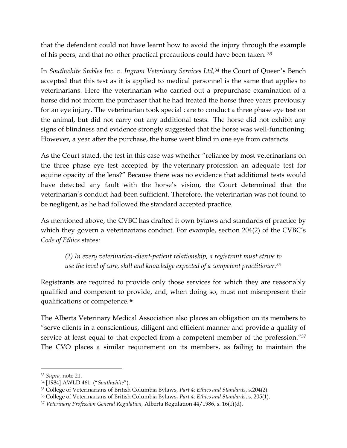that the defendant could not have learnt how to avoid the injury through the example of his peers, and that no other practical precautions could have been taken. <sup>33</sup>

In *Southwhite Stables Inc. v. Ingram Veterinary Services Ltd,<sup>34</sup>* the Court of Queen's Bench accepted that this test as it is applied to medical personnel is the same that applies to veterinarians. Here the veterinarian who carried out a prepurchase examination of a horse did not inform the purchaser that he had treated the horse three years previously for an eye injury. The veterinarian took special care to conduct a three phase eye test on the animal, but did not carry out any additional tests. The horse did not exhibit any signs of blindness and evidence strongly suggested that the horse was well-functioning. However, a year after the purchase, the horse went blind in one eye from cataracts.

As the Court stated, the test in this case was whether "reliance by most veterinarians on the three phase eye test accepted by the veterinary profession an adequate test for equine opacity of the lens?" Because there was no evidence that additional tests would have detected any fault with the horse's vision, the Court determined that the veterinarian's conduct had been sufficient. Therefore, the veterinarian was not found to be negligent, as he had followed the standard accepted practice.

As mentioned above, the CVBC has drafted it own bylaws and standards of practice by which they govern a veterinarians conduct. For example, section 204(2) of the CVBC's *Code of Ethics* states:

*(2) In every veterinarian-client-patient relationship, a registrant must strive to use the level of care, skill and knowledge expected of a competent practitioner.<sup>35</sup>*

Registrants are required to provide only those services for which they are reasonably qualified and competent to provide, and, when doing so, must not misrepresent their qualifications or competence.<sup>36</sup>

The Alberta Veterinary Medical Association also places an obligation on its members to "serve clients in a conscientious, diligent and efficient manner and provide a quality of service at least equal to that expected from a competent member of the profession."<sup>37</sup> The CVO places a similar requirement on its members, as failing to maintain the

<sup>33</sup> *Supra,* note 21.

<sup>34</sup> [1984] AWLD 461. ("*Southwhite*").

<sup>35</sup> College of Veterinarians of British Columbia Bylaws, *Part 4: Ethics and Standards*, s.204(2).

<sup>36</sup> College of Veterinarians of British Columbia Bylaws, *Part 4: Ethics and Standards*, s. 205(1).

<sup>37</sup> *Veterinary Profession General Regulation,* Alberta Regulation 44/1986, s. 16(1)(d).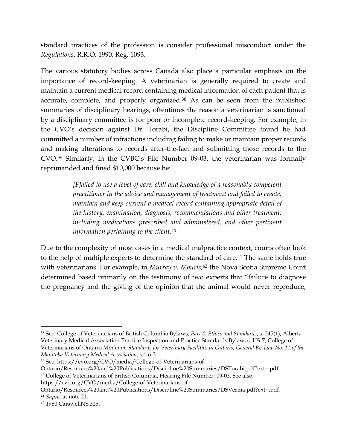standard practices of the profession is consider professional misconduct under the *Regulations*, R.R.O. 1990, Reg. 1093.

The various statutory bodies across Canada also place a particular emphasis on the importance of record-keeping. A veterinarian is generally required to create and maintain a current medical record containing medical information of each patient that is accurate, complete, and properly organized.<sup>38</sup> As can be seen from the published summaries of disciplinary hearings, oftentimes the reason a veterinarian is sanctioned by a disciplinary committee is for poor or incomplete record-keeping. For example, in the CVO's decision against Dr. Torabi, the Discipline Committee found he had committed a number of infractions including failing to make or maintain proper records and making alterations to records after-the-fact and submitting those records to the CVO. <sup>39</sup> Similarly, in the CVBC's File Number 09-03, the veterinarian was formally reprimanded and fined \$10,000 because he:

> *[F]ailed to use a level of care, skill and knowledge of a reasonably competent practitioner in the advice and management of treatment and failed to create, maintain and keep current a medical record containing appropriate detail of the history, examination, diagnosis, recommendations and other treatment,*  including medications prescribed and administered, and other pertinent *information pertaining to the client.<sup>40</sup>*

Due to the complexity of most cases in a medical malpractice context, courts often look to the help of multiple experts to determine the standard of care.<sup>41</sup> The same holds true with veterinarians. For example, in *Murray v. Mouris*, <sup>42</sup> the Nova Scotia Supreme Court determined based primarily on the testimony of two experts that "failure to diagnose the pregnancy and the giving of the opinion that the animal would never reproduce,

<sup>38</sup> See: College of Veterinarians of British Columbia Bylaws, *Part 4: Ethics and Standards*, s. 245(1); Alberta Veterinary Medical Association Practice Inspection and Practice Standards Bylaw, s. US-7; College of Veterinarians of Ontario *Minimum Standards for Veterinary Facilities in Ontario; General By-Law No. 11 of the Manitoba Veterinary Medical Association, s.*4-6-3.

<sup>39</sup> See: https://cvo.org/CVO/media/College-of-Veterinarians-of-

Ontario/Resources%20and%20Publications/Discipline%20Summaries/DSTorabi.pdf?ext=.pdf <sup>40</sup> College of Veterinarians of British Columbia, Hearing File Number: 09-03. See also:

https://cvo.org/CVO/media/College-of-Veterinarians-of-

Ontario/Resources%20and%20Publications/Discipline%20Summaries/DSVerma.pdf?ext=.pdf. <sup>41</sup> *Supra,* at note 21.

<sup>42</sup> 1980 CarswellNS 325.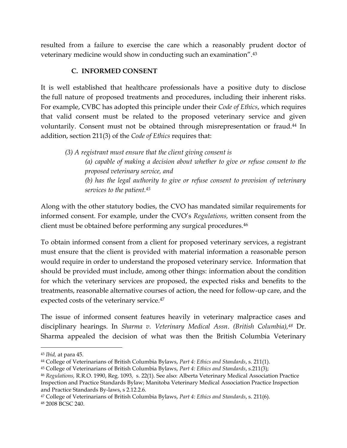resulted from a failure to exercise the care which a reasonably prudent doctor of veterinary medicine would show in conducting such an examination".<sup>43</sup>

#### **C. INFORMED CONSENT**

It is well established that healthcare professionals have a positive duty to disclose the full nature of proposed treatments and procedures, including their inherent risks. For example, CVBC has adopted this principle under their *Code of Ethics*, which requires that valid consent must be related to the proposed veterinary service and given voluntarily. Consent must not be obtained through misrepresentation or fraud.<sup>44</sup> In addition, section 211(3) of the *Code of Ethics* requires that:

*(3) A registrant must ensure that the client giving consent is (a) capable of making a decision about whether to give or refuse consent to the proposed veterinary service, and (b) has the legal authority to give or refuse consent to provision of veterinary services to the patient.<sup>45</sup>*

Along with the other statutory bodies, the CVO has mandated similar requirements for informed consent. For example, under the CVO's *Regulations,* written consent from the client must be obtained before performing any surgical procedures.<sup>46</sup>

To obtain informed consent from a client for proposed veterinary services, a registrant must ensure that the client is provided with material information a reasonable person would require in order to understand the proposed veterinary service. Information that should be provided must include, among other things: information about the condition for which the veterinary services are proposed, the expected risks and benefits to the treatments, reasonable alternative courses of action, the need for follow-up care, and the expected costs of the veterinary service.<sup>47</sup>

The issue of informed consent features heavily in veterinary malpractice cases and disciplinary hearings. In *Sharma v. Veterinary Medical Assn*. *(British Columbia),<sup>48</sup>* Dr. Sharma appealed the decision of what was then the British Columbia Veterinary

<sup>43</sup> *Ibid,* at para 45.

<sup>44</sup> College of Veterinarians of British Columbia Bylaws, *Part 4: Ethics and Standards*, s. 211(1).

<sup>45</sup> College of Veterinarians of British Columbia Bylaws, *Part 4: Ethics and Standards*, s.211(3);

<sup>46</sup> *Regulations,* R.R.O. 1990, Reg. 1093*,* s. 22(1). See also: Alberta Veterinary Medical Association Practice Inspection and Practice Standards Bylaw; Manitoba Veterinary Medical Association Practice Inspection and Practice Standards By-laws, s 2.12.2.6.

<sup>47</sup> College of Veterinarians of British Columbia Bylaws, *Part 4: Ethics and Standards*, s. 211(6). <sup>48</sup> 2008 BCSC 240.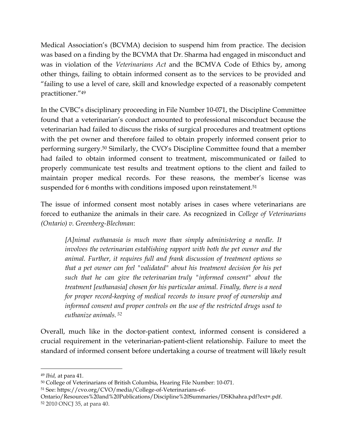Medical Association's (BCVMA) decision to suspend him from practice. The decision was based on a finding by the BCVMA that Dr. Sharma had engaged in misconduct and was in violation of the *Veterinarians Act* and the BCMVA Code of Ethics by, among other things, failing to obtain informed consent as to the services to be provided and "failing to use a level of care, skill and knowledge expected of a reasonably competent practitioner."<sup>49</sup>

In the CVBC's disciplinary proceeding in File Number 10-071, the Discipline Committee found that a veterinarian's conduct amounted to professional misconduct because the veterinarian had failed to discuss the risks of surgical procedures and treatment options with the pet owner and therefore failed to obtain properly informed consent prior to performing surgery.<sup>50</sup> Similarly, the CVO's Discipline Committee found that a member had failed to obtain informed consent to treatment, miscommunicated or failed to properly communicate test results and treatment options to the client and failed to maintain proper medical records. For these reasons, the member's license was suspended for 6 months with conditions imposed upon reinstatement.<sup>51</sup>

The issue of informed consent most notably arises in cases where veterinarians are forced to euthanize the animals in their care. As recognized in *College of Veterinarians (Ontario) v. Greenberg-Blechman*:

*[A]nimal euthanasia is much more than simply administering a needle. It involves the veterinarian establishing rapport with both the pet owner and the animal. Further, it requires full and frank discussion of treatment options so that a pet owner can feel "validated" about his treatment decision for his pet such that he can give the veterinarian truly "informed consent" about the treatment [euthanasia] chosen for his particular animal. Finally, there is a need for proper record-keeping of medical records to insure proof of ownership and informed consent and proper controls on the use of the restricted drugs used to euthanize animals. <sup>52</sup>*

Overall, much like in the doctor-patient context, informed consent is considered a crucial requirement in the veterinarian-patient-client relationship. Failure to meet the standard of informed consent before undertaking a course of treatment will likely result

<sup>49</sup> *Ibid,* at para 41.

<sup>50</sup> College of Veterinarians of British Columbia, Hearing File Number: 10-071.

<sup>51</sup> See: https://cvo.org/CVO/media/College-of-Veterinarians-of-

Ontario/Resources%20and%20Publications/Discipline%20Summaries/DSKhahra.pdf?ext=.pdf. <sup>52</sup> 2010 ONCJ 35, at para 40.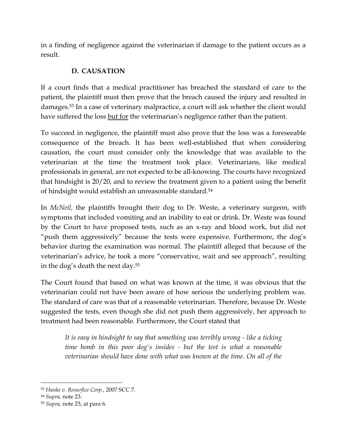in a finding of negligence against the veterinarian if damage to the patient occurs as a result.

## **D. CAUSATION**

If a court finds that a medical practitioner has breached the standard of care to the patient, the plaintiff must then prove that the breach caused the injury and resulted in damages.<sup>53</sup> In a case of veterinary malpractice, a court will ask whether the client would have suffered the loss but for the veterinarian's negligence rather than the patient.

To succeed in negligence, the plaintiff must also prove that the loss was a foreseeable consequence of the breach. It has been well-established that when considering causation, the court must consider only the knowledge that was available to the veterinarian at the time the treatment took place. Veterinarians, like medical professionals in general, are not expected to be all-knowing. The courts have recognized that hindsight is 20/20, and to review the treatment given to a patient using the benefit of hindsight would establish an unreasonable standard.<sup>54</sup>

In *McNeil,* the plaintiffs brought their dog to Dr. Weste, a veterinary surgeon, with symptoms that included vomiting and an inability to eat or drink. Dr. Weste was found by the Court to have proposed tests, such as an x-ray and blood work, but did not "push them aggressively" because the tests were expensive. Furthermore, the dog's behavior during the examination was normal. The plaintiff alleged that because of the veterinarian's advice, he took a more "conservative, wait and see approach", resulting in the dog's death the next day.<sup>55</sup>

The Court found that based on what was known at the time, it was obvious that the veterinarian could not have been aware of how serious the underlying problem was. The standard of care was that of a reasonable veterinarian. Therefore, because Dr. Weste suggested the tests, even though she did not push them aggressively, her approach to treatment had been reasonable. Furthermore, the Court stated that

*It is easy in hindsight to say that something was terribly wrong - like a ticking time bomb in this poor dog's insides - but the test is what a reasonable veterinarian should have done with what was known at the time. On all of the* 

<sup>53</sup> *Hanke v. Resurfice Corp.,* 2007 SCC 7.

<sup>54</sup> *Supra,* note 23.

<sup>55</sup> *Supra,* note 23, at para 6.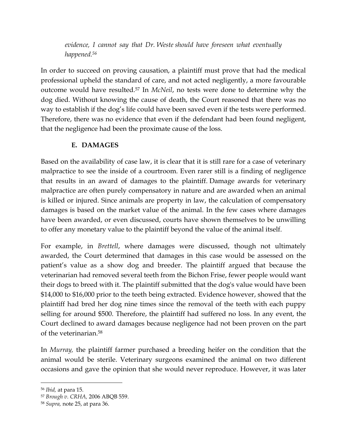*evidence, I cannot say that Dr. Weste should have foreseen what eventually happened.<sup>56</sup>*

In order to succeed on proving causation, a plaintiff must prove that had the medical professional upheld the standard of care, and not acted negligently, a more favourable outcome would have resulted. <sup>57</sup> In *McNeil*, no tests were done to determine why the dog died. Without knowing the cause of death, the Court reasoned that there was no way to establish if the dog's life could have been saved even if the tests were performed. Therefore, there was no evidence that even if the defendant had been found negligent, that the negligence had been the proximate cause of the loss.

## **E. DAMAGES**

Based on the availability of case law, it is clear that it is still rare for a case of veterinary malpractice to see the inside of a courtroom. Even rarer still is a finding of negligence that results in an award of damages to the plaintiff. Damage awards for veterinary malpractice are often purely compensatory in nature and are awarded when an animal is killed or injured. Since animals are property in law, the calculation of compensatory damages is based on the market value of the animal. In the few cases where damages have been awarded, or even discussed, courts have shown themselves to be unwilling to offer any monetary value to the plaintiff beyond the value of the animal itself.

For example, in *Brettell*, where damages were discussed, though not ultimately awarded, the Court determined that damages in this case would be assessed on the patient's value as a show dog and breeder. The plaintiff argued that because the veterinarian had removed several teeth from the Bichon Frise, fewer people would want their dogs to breed with it. The plaintiff submitted that the dog's value would have been \$14,000 to \$16,000 prior to the teeth being extracted. Evidence however, showed that the plaintiff had bred her dog nine times since the removal of the teeth with each puppy selling for around \$500. Therefore, the plaintiff had suffered no loss. In any event, the Court declined to award damages because negligence had not been proven on the part of the veterinarian. 58

In *Murray,* the plaintiff farmer purchased a breeding heifer on the condition that the animal would be sterile. Veterinary surgeons examined the animal on two different occasions and gave the opinion that she would never reproduce. However, it was later

<sup>56</sup> *Ibid,* at para 15.

<sup>57</sup> *Brough v. CRHA,* 2006 ABQB 559.

<sup>58</sup> *Supra,* note 25, at para 36.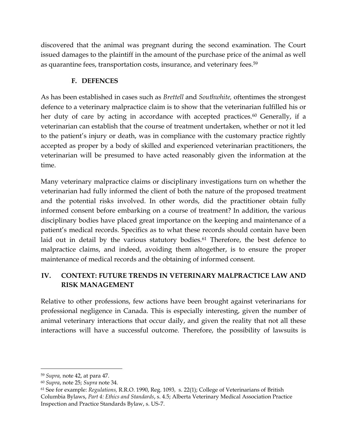discovered that the animal was pregnant during the second examination. The Court issued damages to the plaintiff in the amount of the purchase price of the animal as well as quarantine fees, transportation costs, insurance, and veterinary fees.<sup>59</sup>

## **F. DEFENCES**

As has been established in cases such as *Brettell* and *Southwhite,* oftentimes the strongest defence to a veterinary malpractice claim is to show that the veterinarian fulfilled his or her duty of care by acting in accordance with accepted practices.<sup>60</sup> Generally, if a veterinarian can establish that the course of treatment undertaken, whether or not it led to the patient's injury or death, was in compliance with the customary practice rightly accepted as proper by a body of skilled and experienced veterinarian practitioners, the veterinarian will be presumed to have acted reasonably given the information at the time.

Many veterinary malpractice claims or disciplinary investigations turn on whether the veterinarian had fully informed the client of both the nature of the proposed treatment and the potential risks involved. In other words, did the practitioner obtain fully informed consent before embarking on a course of treatment? In addition, the various disciplinary bodies have placed great importance on the keeping and maintenance of a patient's medical records. Specifics as to what these records should contain have been laid out in detail by the various statutory bodies.<sup>61</sup> Therefore, the best defence to malpractice claims, and indeed, avoiding them altogether, is to ensure the proper maintenance of medical records and the obtaining of informed consent.

# **IV. CONTEXT: FUTURE TRENDS IN VETERINARY MALPRACTICE LAW AND RISK MANAGEMENT**

Relative to other professions, few actions have been brought against veterinarians for professional negligence in Canada. This is especially interesting, given the number of animal veterinary interactions that occur daily, and given the reality that not all these interactions will have a successful outcome. Therefore, the possibility of lawsuits is

<sup>59</sup> *Supra,* note 42, at para 47.

<sup>60</sup> *Supra*, note 25; *Supra* note 34.

<sup>61</sup> See for example: *Regulations,* R.R.O. 1990, Reg. 1093*,* s. 22(1); College of Veterinarians of British Columbia Bylaws, *Part 4: Ethics and Standards*, s. 4.5; Alberta Veterinary Medical Association Practice Inspection and Practice Standards Bylaw, s. US-7.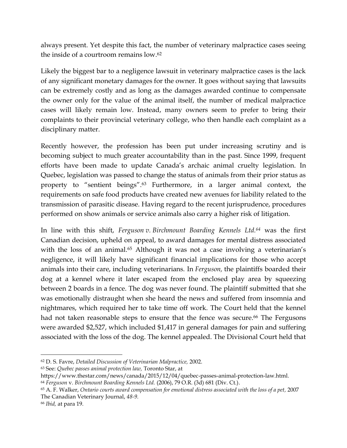always present. Yet despite this fact, the number of veterinary malpractice cases seeing the inside of a courtroom remains low.<sup>62</sup>

Likely the biggest bar to a negligence lawsuit in veterinary malpractice cases is the lack of any significant monetary damages for the owner. It goes without saying that lawsuits can be extremely costly and as long as the damages awarded continue to compensate the owner only for the value of the animal itself, the number of medical malpractice cases will likely remain low. Instead, many owners seem to prefer to bring their complaints to their provincial veterinary college, who then handle each complaint as a disciplinary matter.

Recently however, the profession has been put under increasing scrutiny and is becoming subject to much greater accountability than in the past. Since 1999, frequent efforts have been made to update Canada's archaic animal cruelty legislation. In Quebec, legislation was passed to change the status of animals from their prior status as property to "sentient beings".<sup>63</sup> Furthermore, in a larger animal context, the requirements on safe food products have created new avenues for liability related to the transmission of parasitic disease. Having regard to the recent jurisprudence, procedures performed on show animals or service animals also carry a higher risk of litigation.

In line with this shift, *Ferguson v. Birchmount Boarding Kennels Ltd.<sup>64</sup>* was the first Canadian decision, upheld on appeal, to award damages for mental distress associated with the loss of an animal.<sup>65</sup> Although it was not a case involving a veterinarian's negligence, it will likely have significant financial implications for those who accept animals into their care, including veterinarians. In *Ferguson,* the plaintiffs boarded their dog at a kennel where it later escaped from the enclosed play area by squeezing between 2 boards in a fence. The dog was never found. The plaintiff submitted that she was emotionally distraught when she heard the news and suffered from insomnia and nightmares, which required her to take time off work. The Court held that the kennel had not taken reasonable steps to ensure that the fence was secure.<sup>66</sup> The Fergusons were awarded \$2,527, which included \$1,417 in general damages for pain and suffering associated with the loss of the dog. The kennel appealed. The Divisional Court held that

<sup>62</sup> D. S. Favre, *Detailed Discussion of Veterinarian Malpractice,* 2002.

<sup>63</sup> See: *Quebec passes animal protection law,* Toronto Star, at

https://www.thestar.com/news/canada/2015/12/04/quebec-passes-animal-protection-law.html.

<sup>64</sup> *Ferguson* v. *Birchmount Boarding Kennels Ltd.* (2006), 79 O.R. (3d) 681 (Div. Ct.).

<sup>65</sup> A. F. Walker, *Ontario courts award compensation for emotional distress associated with the loss of a pet,* 2007 The Canadian Veterinary Journal, *48-9.*

<sup>66</sup> *Ibid,* at para 19.